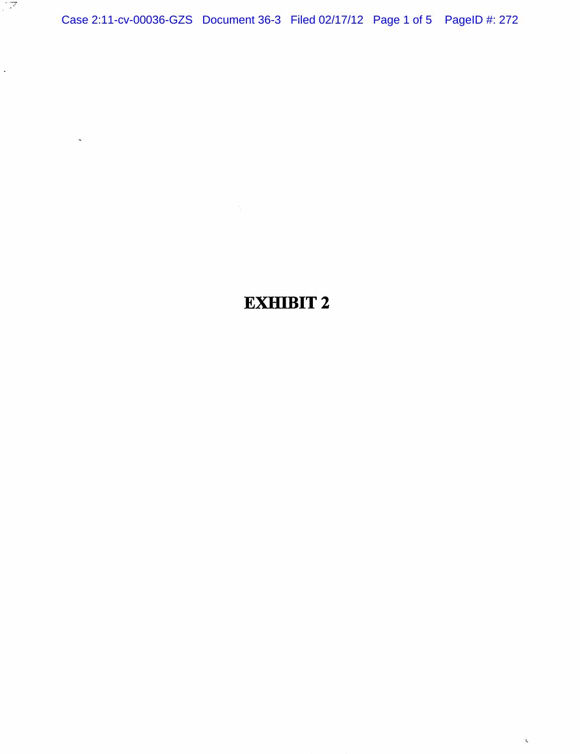Case 2:11-cv-00036-GZS Document 36-3 Filed 02/17/12 Page 1 of 5 PageID #: 272

्राष्ट्र

 $\hat{\mathcal{L}}$ 

 $\bar{\zeta}$ 

## EXHIBIT 2

 $\bar{\zeta}$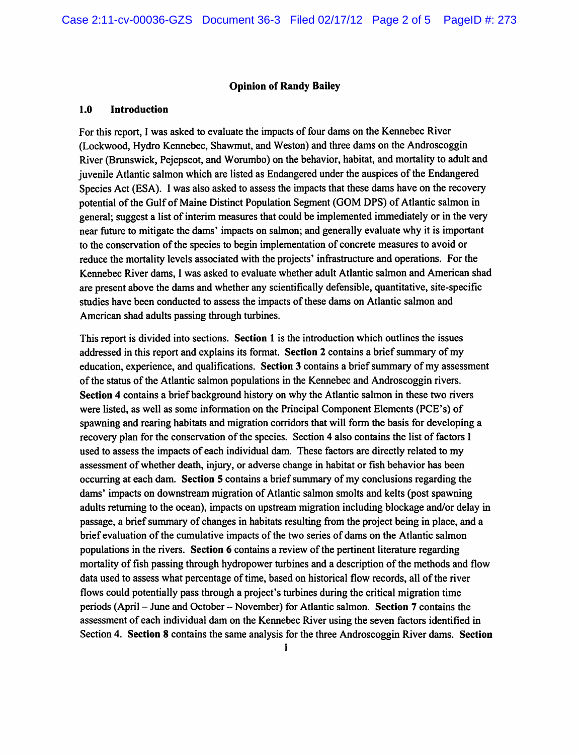## Opinion of Randy Bailey

## 1.0 Introduction

For this report, I was asked to evaluate the impacts of four dams on the Kennebec River (Lockwood, Hydro Kennebec, Shawmut, and Weston) and three dams on the Androscoggin River (Brunswick, Pejepscot, and Worumbo) on the behavior, habitat, and mortality to adult and juvenile Atlantic salmon which are listed as Endangered under the auspices of the Endangered Species Act (ESA). I was also asked to assess the impacts that these dams have on the recovery potential of the Gulf of Maine Distinct Population Segment (GOM DPS) of Atlantic salmon in general; suggest a list of interim measures that could be implemented immediately or in the very near future to mitigate the dams' impacts on salmon; and generally evaluate why it is important to the conservation of the species to begin implementation of concrete measures to avoid or reduce the mortality levels associated with the projects' infrastructure and operations. For the Kennebec River dams, I was asked to evaluate whether adult Atlantic salmon and American shad are present above the dams and whether any scientifically defensible, quantitative, site-specific studies have been conducted to assess the impacts of these dams on Atlantic salmon and American shad adults passing through turbines.

This report is divided into sections. Section 1 is the introduction which outlines the issues addressed in this report and explains its format. Section 2 contains a brief summary of my education, experience, and qualifications. Section 3 contains a brief summary of my assessment of the status of the Atlantic salmon populations in the Kennebec and Androscoggin rivers. Section 4 contains a brief background history on why the Atlantic salmon in these two rivers were listed, as well as some information on the Principal Component Elements (PCE's) of spawning and rearing habitats and migration corridors that will form the basis for developing a recovery plan for the conservation of the species. Section 4 also contains the list of factors I used to assess the impacts of each individual dam. These factors are directly related to my assessment of whether death, injury, or adverse change in habitat or fish behavior has been occurring at each dam. Section 5 contains a brief summary of my conclusions regarding the dams' impacts on downstream migration of Atlantic salmon smolts and kelts (post spawning adults returning to the ocean), impacts on upstream migration including blockage and/or delay in passage, a brief summary of changes in habitats resulting from the project being in place, and a brief evaluation of the cumulative impacts of the two series of dams on the Atlantic salmon populations in the rivers. Section 6 contains a review of the pertinent literature regarding mortality of fish passing through hydropower turbines and a description of the methods and flow data used to assess what percentage of time, based on historical flow records, all of the river flows could potentially pass through a project's turbines during the critical migration time periods (April - June and October - November) for Atlantic salmon. Section 7 contains the assessment of each individual dam on the Kennebec River using the seven factors identified in Section 4. Section 8 contains the same analysis for the three Androscoggin River dams. Section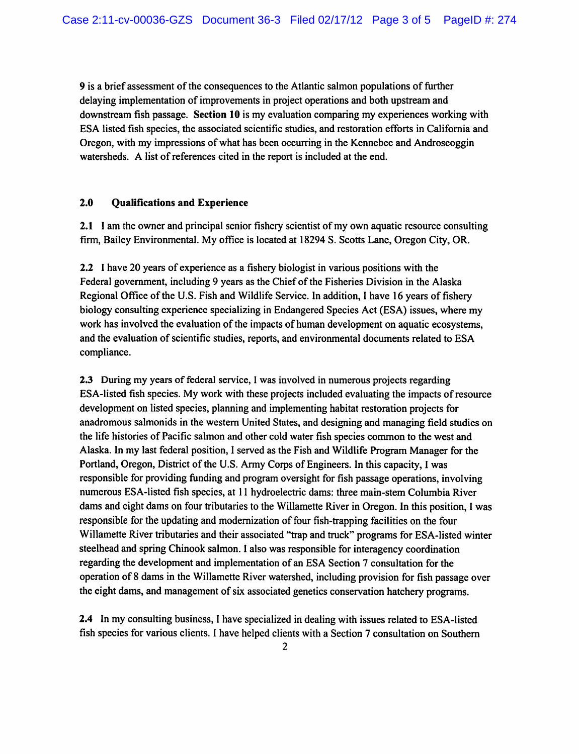9 is a brief assessment of the consequences to the Atlantic salmon populations of further delaying implementation of improvements in project operations and both upstream and downstream fish passage. Section 10 is my evaluation comparing my experiences working with ESA listed fish species, the associated scientific studies, and restoration efforts in California and Oregon, with my impressions of what has been occurring in the Kennebec and Androscoggin watersheds. A list of references cited in the report is included at the end.

## 2.0 Qualifications and Experience

2.1 I am the owner and principal senior fishery scientist of my own aquatic resource consulting firm, Bailey Environmental. My office is located at 18294 S. Scotts Lane, Oregon City, OR.

2.2 I have 20 years of experience as a fishery biologist in various positions with the Federal government, including 9 years as the Chief of the Fisheries Division in the Alaska Regional Office of the U.S. Fish and Wildlife Service. In addition, 1 have 16 years of fishery biology consulting experience specializing in Endangered Species Act (ESA) issues, where my work has involved the evaluation of the impacts of human development on aquatic ecosystems, and the evaluation of scientific studies, reports, and environmental documents related to ESA compliance.

2.3 During my years of federal service, I was involved in numerous projects regarding ESA-listed fish species. My work with these projects included evaluating the impacts of resource development on listed species, planning and implementing habitat restoration projects for anadromous salmonids in the western United States, and designing and managing field studies on the life histories of Pacific salmon and other cold water fish species common to the west and Alaska. In my last federal position, I served as the Fish and Wildlife Program Manager for the Portland, Oregon, District of the U.S. Army Corps of Engineers. In this capacity, I was responsible for providing funding and program oversight for fish passage operations, involving numerous ESA-listed fish species, at 11 hydroelectric dams: three main-stem Columbia River dams and eight dams on four tributaries to the Willamette River in Oregon. In this position, I was responsible for the updating and modernization of four fish-trapping facilities on the four Willamette River tributaries and their associated "trap and truck" programs for ESA-listed winter steelhead and spring Chinook salmon. I also was responsible for interagency coordination regarding the development and implementation of an ESA Section 7 consultation for the operation of 8 dams in the Willamette River watershed, including provision for fish passage over the eight dams, and management of six associated genetics conservation hatchery programs.

2.4 In my consulting business, I have specialized in dealing with issues related to ESA-listed fish species for various clients. I have helped clients with a Section 7 consultation on Southern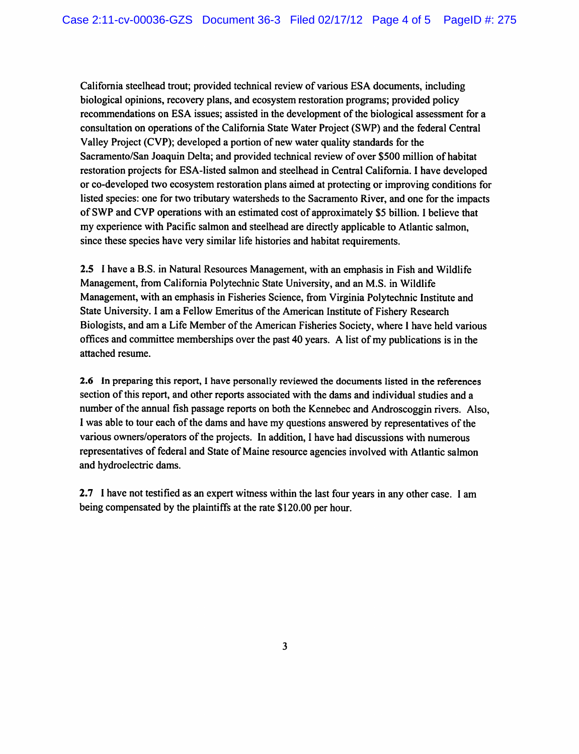California steelhead trout; provided technical review of various ESA documents, including biological opinions, recovery plans, and ecosystem restoration programs; provided policy recommendations on ESA issues; assisted in the development of the biological assessment for a consultation on operations of the California State Water Project (SWP) and the federal Central Valley Project (CVP); developed a portion of new water quality standards for the Sacramento/San Joaquin Delta; and provided technical review of over \$500 million of habitat restoration projects for ESA-listed salmon and steelhead in Central California. I have developed or co-developed two ecosystem restoration plans aimed at protecting or improving conditions for listed species: one for two tributary watersheds to the Sacramento River, and one for the impacts of SWP and CVP operations with an estimated cost of approximately \$5 billion. I believe that my experience with Pacific salmon and steelhead are directly applicable to Atlantic salmon, since these species have very similar life histories and habitat requirements.

2.5 I have a B.S. in Natural Resources Management, with an emphasis in Fish and Wildlife Management, from California Polytechnic State University, and an M.S. in Wildlife Management, with an emphasis in Fisheries Science, from Virginia Polytechnic Institute and State University. I am a Fellow Emeritus of the American Institute of Fishery Research Biologists, and am a Life Member of the American Fisheries Society, where I have held various offices and committee memberships over the past 40 years. A list of my publications is in the attached resume.

2.6 In preparing this report, I have personally reviewed the documents listed in the references section of this report, and other reports associated with the dams and individual studies and a number of the annual fish passage reports on both the Kennebec and Androscoggin rivers. Also, I was able to tour each of the dams and have my questions answered by representatives of the various owners/operators of the projects. In addition, I have had discussions with numerous representatives of federal and State of Maine resource agencies involved with Atlantic salmon and hydroelectric dams.

2.7 I have not testified as an expert witness within the last four years in any other case. I am being compensated by the plaintiffs at the rate \$120.00 per hour.